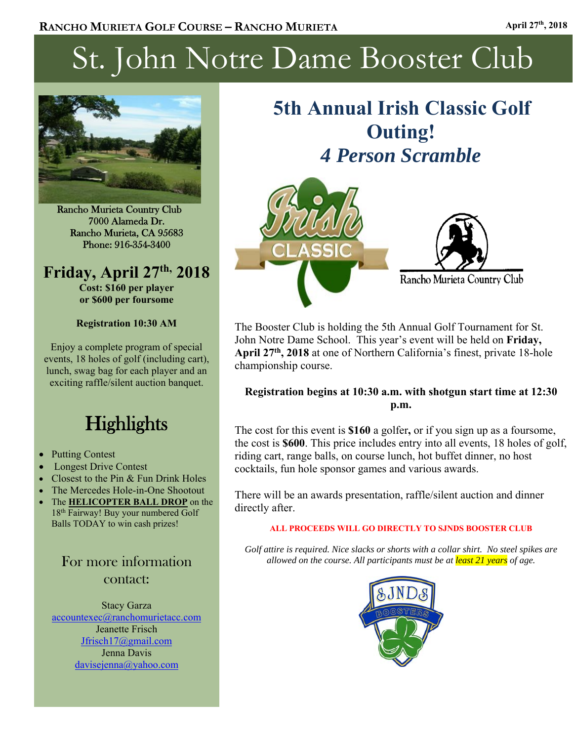# St. John Notre Dame Booster Club



Rancho Murieta Country Club 7000 Alameda Dr. Rancho Murieta, CA 95683 Phone: 916-354-3400

# **Friday, April 27th, 2018**

**Cost: \$160 per player or \$600 per foursome** 

#### **Registration 10:30 AM**

Enjoy a complete program of special events, 18 holes of golf (including cart), lunch, swag bag for each player and an exciting raffle/silent auction banquet.

# **Highlights**

- Putting Contest
- Longest Drive Contest
- Closest to the Pin & Fun Drink Holes
- The Mercedes Hole-in-One Shootout
- The **HELICOPTER BALL DROP** on the 18th Fairway! Buy your numbered Golf Balls TODAY to win cash prizes!

For more information contact:

Stacy Garza accountexec@ranchomurietacc.com Jeanette Frisch Jfrisch17@gmail.com Jenna Davis davisejenna@yahoo.com

# **5th Annual Irish Classic Golf Outing!**  *4 Person Scramble*



The Booster Club is holding the 5th Annual Golf Tournament for St. John Notre Dame School. This year's event will be held on **Friday, April 27th, 2018** at one of Northern California's finest, private 18-hole championship course.

#### **Registration begins at 10:30 a.m. with shotgun start time at 12:30 p.m.**

The cost for this event is **\$160** a golfer**,** or if you sign up as a foursome, the cost is **\$600**. This price includes entry into all events, 18 holes of golf, riding cart, range balls, on course lunch, hot buffet dinner, no host cocktails, fun hole sponsor games and various awards.

There will be an awards presentation, raffle/silent auction and dinner directly after.

#### **ALL PROCEEDS WILL GO DIRECTLY TO SJNDS BOOSTER CLUB**

*Golf attire is required. Nice slacks or shorts with a collar shirt. No steel spikes are allowed on the course. All participants must be at least 21 years of age.* 

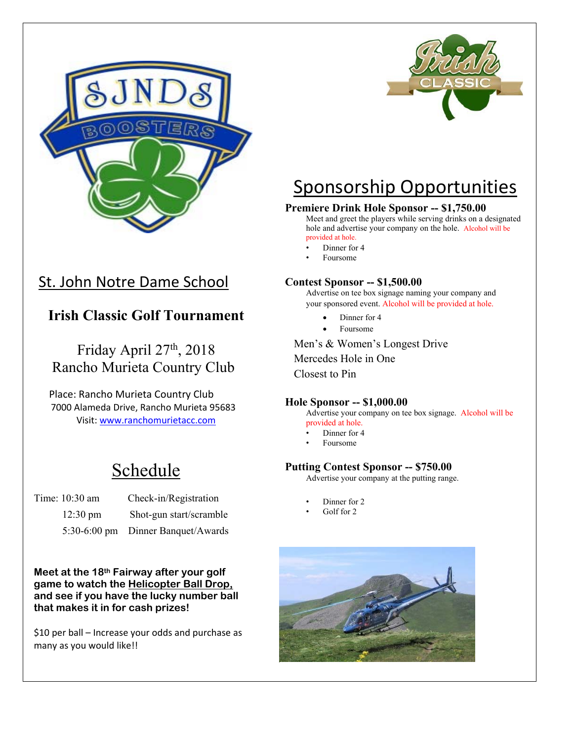

## St. John Notre Dame School

### **Irish Classic Golf Tournament**

Friday April 27<sup>th</sup>, 2018 Rancho Murieta Country Club

 Place: Rancho Murieta Country Club 7000 Alameda Drive, Rancho Murieta 95683 Visit: www.ranchomurietacc.com

# Schedule

| Time: 10:30 am     | Check-in/Registration              |
|--------------------|------------------------------------|
| $12:30 \text{ pm}$ | Shot-gun start/scramble            |
|                    | 5:30-6:00 pm Dinner Banquet/Awards |

**Meet at the 18th Fairway after your golf game to watch the Helicopter Ball Drop, and see if you have the lucky number ball that makes it in for cash prizes!** 

\$10 per ball – Increase your odds and purchase as many as you would like!!



# Sponsorship Opportunities

#### **Premiere Drink Hole Sponsor ‐‐ \$1,750.00**

Meet and greet the players while serving drinks on a designated hole and advertise your company on the hole. Alcohol will be provided at hole.

- Dinner for 4
- Foursome

#### **Contest Sponsor ‐‐ \$1,500.00**

Advertise on tee box signage naming your company and your sponsored event. Alcohol will be provided at hole.

- Dinner for 4
- Foursome

Men's & Women's Longest Drive

Mercedes Hole in One

Closest to Pin

#### **Hole Sponsor ‐‐ \$1,000.00**

Advertise your company on tee box signage. Alcohol will be provided at hole.

- Dinner for 4
- Foursome

#### **Putting Contest Sponsor ‐‐ \$750.00**

Advertise your company at the putting range.

- Dinner for 2
- Golf for 2

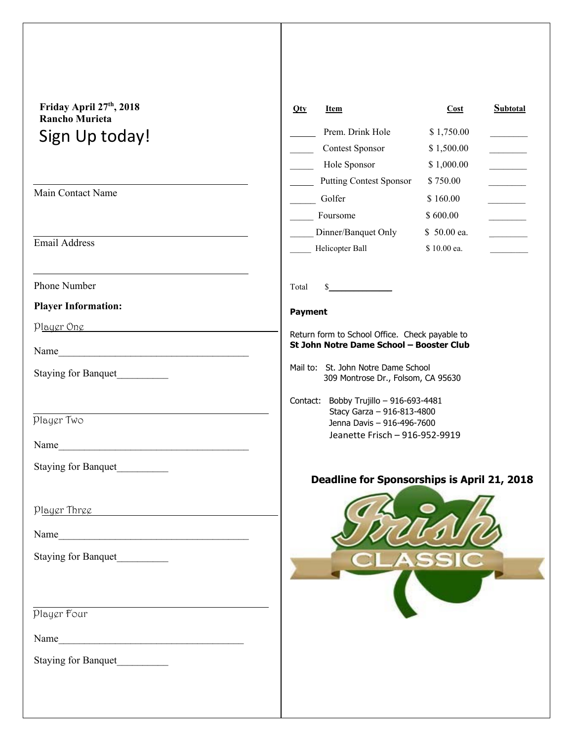| Friday April 27th, 2018<br><b>Rancho Murieta</b> | $Q$ ty<br>Item                                                                             | Cost        | <b>Subtotal</b>          |
|--------------------------------------------------|--------------------------------------------------------------------------------------------|-------------|--------------------------|
| Sign Up today!                                   | Prem. Drink Hole                                                                           | \$1,750.00  |                          |
|                                                  | <b>Contest Sponsor</b>                                                                     | \$1,500.00  |                          |
|                                                  | Hole Sponsor                                                                               | \$1,000.00  |                          |
| Main Contact Name                                | <b>Putting Contest Sponsor</b>                                                             | \$750.00    |                          |
|                                                  | Golfer                                                                                     | \$160.00    |                          |
|                                                  | Foursome                                                                                   | \$600.00    |                          |
| <b>Email Address</b>                             | Dinner/Banquet Only                                                                        | \$50.00 ea. | $\overline{\phantom{a}}$ |
|                                                  | Helicopter Ball                                                                            | \$10.00 ea. |                          |
| Phone Number                                     | $\frac{1}{2}$<br>Total                                                                     |             |                          |
| <b>Player Information:</b>                       | <b>Payment</b>                                                                             |             |                          |
| <u>Player One</u>                                |                                                                                            |             |                          |
| Name                                             | Return form to School Office. Check payable to<br>St John Notre Dame School - Booster Club |             |                          |
| <b>Staying for Banquet</b>                       | Mail to: St. John Notre Dame School<br>309 Montrose Dr., Folsom, CA 95630                  |             |                          |
|                                                  | Contact: Bobby Trujillo - 916-693-4481<br>Stacy Garza - 916-813-4800                       |             |                          |
| Player Two                                       | Jenna Davis - 916-496-7600                                                                 |             |                          |
| Name                                             | Jeanette Frisch - 916-952-9919                                                             |             |                          |
| Staying for Banquet                              |                                                                                            |             |                          |
|                                                  | Deadline for Sponsorships is April 21, 2018                                                |             |                          |
| Player Three                                     |                                                                                            |             |                          |
|                                                  |                                                                                            |             |                          |
| Name                                             |                                                                                            |             |                          |
| Staying for Banquet                              |                                                                                            |             |                          |
|                                                  |                                                                                            |             |                          |
|                                                  |                                                                                            |             |                          |
| Player Four                                      |                                                                                            |             |                          |
|                                                  |                                                                                            |             |                          |
| Staying for Banquet                              |                                                                                            |             |                          |
|                                                  |                                                                                            |             |                          |
|                                                  |                                                                                            |             |                          |
|                                                  |                                                                                            |             |                          |